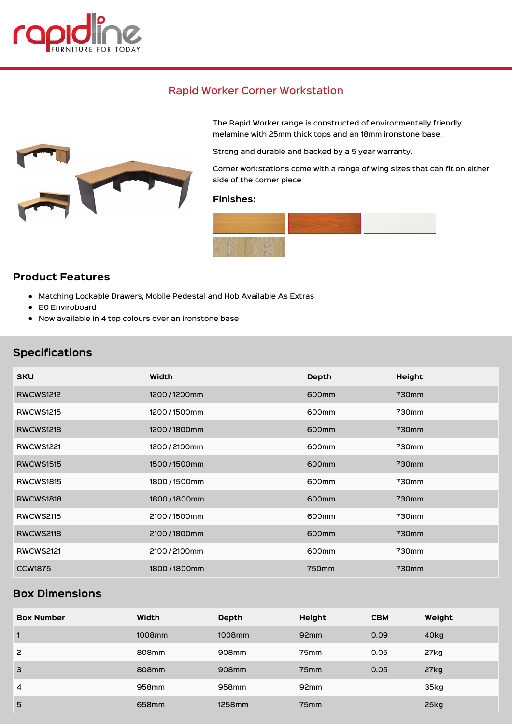

# Rapid Worker Corner Workstation



The Rapid Worker range is constructed of environmentally friendly melamine with 25mm thick tops and an 18mm ironstone base.

Strong and durable and backed by a 5 year warranty.

Corner workstations come with a range of wing sizes that can fit on either side of the corner piece

#### Finishes:



## Product Features

- Matching Lockable Drawers, Mobile Pedestal and Hob Available As Extras
- E0 Enviroboard
- Now available in 4 top colours over an ironstone base

## Specifications

| <b>SKU</b>       | Width       | Depth             | Height |
|------------------|-------------|-------------------|--------|
| <b>RWCWS1212</b> | 1200/1200mm | 600 <sub>mm</sub> | 730mm  |
| <b>RWCWS1215</b> | 1200/1500mm | 600mm             | 730mm  |
| <b>RWCWS1218</b> | 1200/1800mm | 600 <sub>mm</sub> | 730mm  |
| <b>RWCWS1221</b> | 1200/2100mm | 600mm             | 730mm  |
| <b>RWCWS1515</b> | 1500/1500mm | 600 <sub>mm</sub> | 730mm  |
| <b>RWCWS1815</b> | 1800/1500mm | 600mm             | 730mm  |
| <b>RWCWS1818</b> | 1800/1800mm | 600 <sub>mm</sub> | 730mm  |
| <b>RWCWS2115</b> | 2100/1500mm | 600mm             | 730mm  |
| <b>RWCWS2118</b> | 2100/1800mm | 600 <sub>mm</sub> | 730mm  |
| <b>RWCWS2121</b> | 2100/2100mm | 600mm             | 730mm  |
| <b>CCW1875</b>   | 1800/1800mm | 750mm             | 730mm  |

# Box Dimensions

| <b>Box Number</b> | Width  | Depth  | Height           | <b>CBM</b> | Weight |
|-------------------|--------|--------|------------------|------------|--------|
| 1                 | 1008mm | 1008mm | 92 <sub>mm</sub> | 0.09       | 40kg   |
| $\overline{c}$    | 808mm  | 908mm  | 75 <sub>mm</sub> | 0.05       | 27kg   |
| 3                 | 808mm  | 908mm  | 75 <sub>mm</sub> | 0.05       | 27kg   |
| $\overline{4}$    | 958mm  | 958mm  | 92 <sub>mm</sub> |            | 35kg   |
| 5                 | 658mm  | 1258mm | 75 <sub>mm</sub> |            | 25kg   |